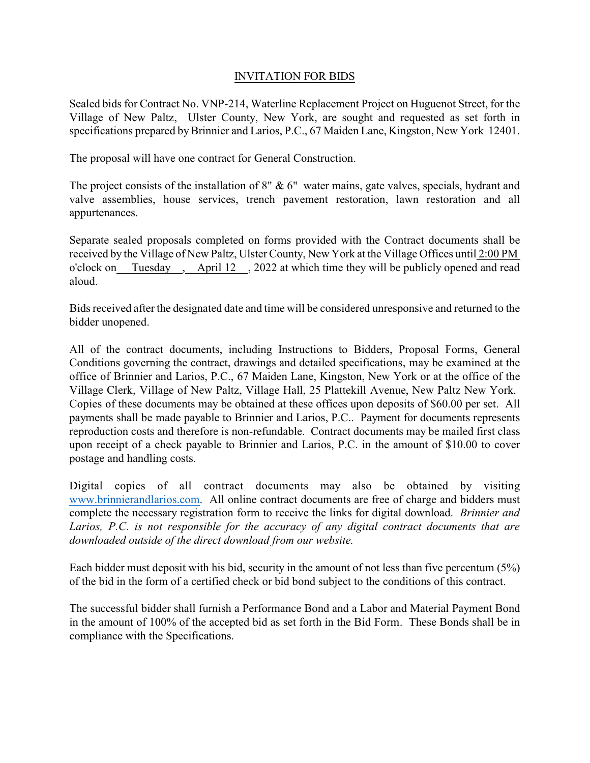## INVITATION FOR BIDS

Sealed bids for Contract No. VNP-214, Waterline Replacement Project on Huguenot Street, for the Village of New Paltz, Ulster County, New York, are sought and requested as set forth in specifications prepared by Brinnier and Larios, P.C., 67 Maiden Lane, Kingston, New York 12401.

The proposal will have one contract for General Construction.

The project consists of the installation of 8" & 6" water mains, gate valves, specials, hydrant and valve assemblies, house services, trench pavement restoration, lawn restoration and all appurtenances.

Separate sealed proposals completed on forms provided with the Contract documents shall be received by the Village of New Paltz, Ulster County, New York at the Village Offices until 2:00 PM o'clock on Tuesday , April 12 , 2022 at which time they will be publicly opened and read aloud.

Bidsreceived after the designated date and time will be considered unresponsive and returned to the bidder unopened.

All of the contract documents, including Instructions to Bidders, Proposal Forms, General Conditions governing the contract, drawings and detailed specifications, may be examined at the office of Brinnier and Larios, P.C., 67 Maiden Lane, Kingston, New York or at the office of the Village Clerk, Village of New Paltz, Village Hall, 25 Plattekill Avenue, New Paltz New York. Copies of these documents may be obtained at these offices upon deposits of \$60.00 per set. All payments shall be made payable to Brinnier and Larios, P.C.. Payment for documents represents reproduction costs and therefore is non-refundable. Contract documents may be mailed first class upon receipt of a check payable to Brinnier and Larios, P.C. in the amount of \$10.00 to cover postage and handling costs.

Digital copies of all contract documents may also be obtained by visiting www.brinnierandlarios.com. All online contract documents are free of charge and bidders must complete the necessary registration form to receive the links for digital download. *Brinnier and Larios, P.C. is not responsible for the accuracy of any digital contract documents that are downloaded outside of the direct download from our website.*

Each bidder must deposit with his bid, security in the amount of not less than five percentum (5%) of the bid in the form of a certified check or bid bond subject to the conditions of this contract.

The successful bidder shall furnish a Performance Bond and a Labor and Material Payment Bond in the amount of 100% of the accepted bid as set forth in the Bid Form. These Bonds shall be in compliance with the Specifications.